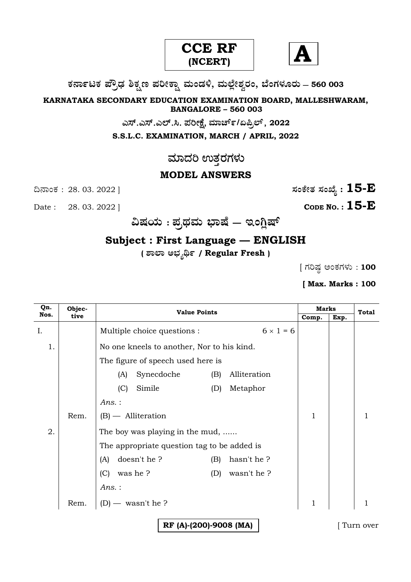



**O⁄´¤%lO⁄ ÆË√v⁄ ÃO⁄–y Æ⁄¬fiO¤– »⁄flMs⁄ÿ, »⁄fl≈Ê«fiÀ⁄ ¡⁄M, ∑ÊMV⁄◊⁄‡¡⁄fl — 560 003** 

**KARNATAKA SECONDARY EDUCATION EXAMINATION BOARD, MALLESHWARAM, BANGALORE – 560 003** 

GÓ….GÓ….GÇ….Ô. ±ÜÄàûæ, **»⁄·¤^È%/HØ√≈È**, **<sup>2022</sup>**

**S.S.L.C. EXAMINATION, MARCH / APRIL, 2022** 

## ಮಾದರಿ ಉತ್ತರಗಳು

## **MODEL ANSWERS**

Date : 28. 03. 2022 ] **CODE NO. : 15-E** 

ದಿನಾಂಕ : 28. 03. 2022 ]  $\qquad \qquad$   $\qquad \qquad$   $\qquad$  ಸಂಕೇತ ಸಂಖ್ಯೆ :  $15$ - $\bf E$ 

**…Œ⁄æ⁄fl : Æ⁄√¢⁄»⁄fl ∫¤ŒÊ — BMW«ŒÈ**

## **Subject : First Language — ENGLISH**

**( À¤≈¤ @∫⁄¥¿£% / Regular Fresh )**

 $[$  ಗರಿಷ್ಠ ಅಂಕಗಳು : **100** 

**[ Max. Marks : 100**

| Qn.  | Objec- | <b>Value Points</b>                             | <b>Marks</b> |      | <b>Total</b> |
|------|--------|-------------------------------------------------|--------------|------|--------------|
| Nos. | tive   |                                                 | Comp.        | Exp. |              |
| I.   |        | $6 \times 1 = 6$<br>Multiple choice questions : |              |      |              |
| 1.   |        | No one kneels to another, Nor to his kind.      |              |      |              |
|      |        | The figure of speech used here is               |              |      |              |
|      |        | Synecdoche<br>Alliteration<br>(B)<br>(A)        |              |      |              |
|      |        | Simile<br>Metaphor<br>(C)<br>(D)                |              |      |              |
|      |        | Ans.:                                           |              |      |              |
|      | Rem.   | $(B)$ - Alliteration                            | 1            |      |              |
| 2.   |        | The boy was playing in the mud,                 |              |      |              |
|      |        | The appropriate question tag to be added is     |              |      |              |
|      |        | doesn't he?<br>hasn't he?<br>(B)<br>(A)         |              |      |              |
|      |        | was he?<br>wasn't he?<br>(C)<br>(D)             |              |      |              |
|      |        | Ans.:                                           |              |      |              |
|      | Rem.   | $(D)$ — wasn't he ?                             | $\mathbf{1}$ |      |              |
|      |        | RF (A)-(200)-9008 (MA)                          |              |      | Turn over    |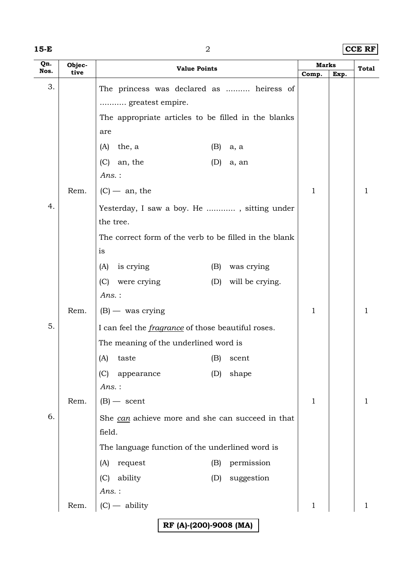|  | ×<br>۰, |  |
|--|---------|--|
|--|---------|--|

**15-E** 2 **CCE RF**

| Qn.  | Objec- | <b>Value Points</b>                                       | Marks       |      | <b>Total</b> |
|------|--------|-----------------------------------------------------------|-------------|------|--------------|
| Nos. | tive   |                                                           | Comp.       | Exp. |              |
| 3.   |        | The princess was declared as  heiress of                  |             |      |              |
|      |        | greatest empire.                                          |             |      |              |
|      |        | The appropriate articles to be filled in the blanks       |             |      |              |
|      |        | are                                                       |             |      |              |
|      |        | the, a<br>(A)<br>(B)<br>a, a                              |             |      |              |
|      |        | (C)<br>an, the<br>(D)<br>a, an                            |             |      |              |
|      |        | $Ans.$ :                                                  |             |      |              |
|      | Rem.   | $(C)$ — an, the                                           | $\mathbf 1$ |      | 1            |
| 4.   |        | Yesterday, I saw a boy. He , sitting under                |             |      |              |
|      |        | the tree.                                                 |             |      |              |
|      |        | The correct form of the verb to be filled in the blank    |             |      |              |
|      |        | is                                                        |             |      |              |
|      |        | is crying<br>(B)<br>was crying<br>(A)                     |             |      |              |
|      |        | (C) were crying<br>(D)<br>will be crying.                 |             |      |              |
|      |        | $Ans.$ :                                                  |             |      |              |
|      | Rem.   | $(B)$ — was crying                                        | 1           |      | 1            |
| 5.   |        | I can feel the <i>fragrance</i> of those beautiful roses. |             |      |              |
|      |        | The meaning of the underlined word is                     |             |      |              |
|      |        | (A)<br>taste<br>(B)<br>scent                              |             |      |              |
|      |        | (D)<br>shape<br>(C)<br>appearance                         |             |      |              |
|      |        | $Ans.$ :                                                  |             |      |              |
|      | Rem.   | $(B)$ - scent                                             | $\mathbf 1$ |      | 1            |
| 6.   |        | She can achieve more and she can succeed in that          |             |      |              |
|      |        | field.                                                    |             |      |              |
|      |        | The language function of the underlined word is           |             |      |              |
|      |        | permission<br>request<br>(A)<br>(B)                       |             |      |              |
|      |        | ability<br>suggestion<br>(C)<br>(D)                       |             |      |              |
|      |        | $Ans.$ :                                                  |             |      |              |
|      | Rem.   | $(C)$ - ability                                           | 1           |      | 1            |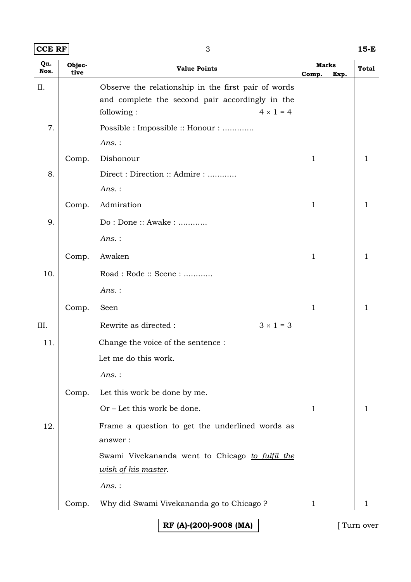| $ CCE$ RF $ $ | 15-E |
|---------------|------|
|               |      |

| Qn.  | Objec- | <b>Value Points</b>                                 |              | <b>Marks</b> |       |
|------|--------|-----------------------------------------------------|--------------|--------------|-------|
| Nos. | tive   |                                                     | Comp.        | Exp.         | Total |
| II.  |        | Observe the relationship in the first pair of words |              |              |       |
|      |        | and complete the second pair accordingly in the     |              |              |       |
|      |        | $4 \times 1 = 4$<br>following:                      |              |              |       |
| 7.   |        | Possible : Impossible :: Honour :                   |              |              |       |
|      |        | $Ans.$ :                                            |              |              |       |
|      | Comp.  | Dishonour                                           | $\mathbf 1$  |              | 1     |
| 8.   |        | Direct : Direction :: Admire :                      |              |              |       |
|      |        | $Ans.$ :                                            |              |              |       |
|      | Comp.  | Admiration                                          | $\mathbf{1}$ |              | 1     |
| 9.   |        | Do: Done:: Awake:                                   |              |              |       |
|      |        | $Ans.$ :                                            |              |              |       |
|      | Comp.  | Awaken                                              | 1            |              | 1     |
| 10.  |        | Road: Rode: Scene:                                  |              |              |       |
|      |        | $Ans.$ :                                            |              |              |       |
|      | Comp.  | Seen                                                | 1            |              | 1     |
| III. |        | $3 \times 1 = 3$<br>Rewrite as directed :           |              |              |       |
| 11.  |        | Change the voice of the sentence :                  |              |              |       |
|      |        | Let me do this work.                                |              |              |       |
|      |        | Ans.:                                               |              |              |       |
|      | Comp.  | Let this work be done by me.                        |              |              |       |
|      |        | Or – Let this work be done.                         | 1            |              |       |
| 12.  |        | Frame a question to get the underlined words as     |              |              |       |
|      |        | answer:                                             |              |              |       |
|      |        | Swami Vivekananda went to Chicago to fulfil the     |              |              |       |
|      |        | wish of his master.                                 |              |              |       |
|      |        | $Ans.$ :                                            |              |              |       |
|      | Comp.  | Why did Swami Vivekananda go to Chicago ?           | 1            |              |       |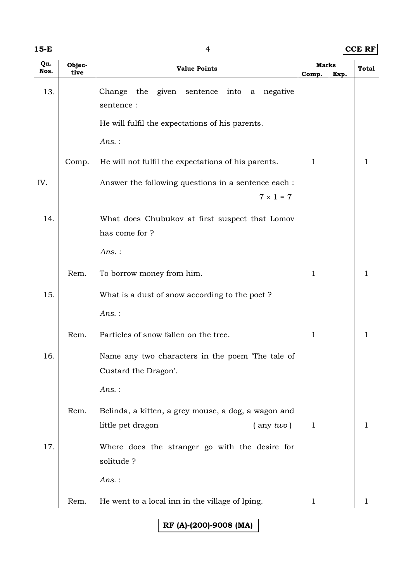|  | ۰, |  |
|--|----|--|
|--|----|--|

**15-E** 4 **CCE RF**

| Qn.  | Objec- |                                                             |              | <b>Marks</b> |             |
|------|--------|-------------------------------------------------------------|--------------|--------------|-------------|
| Nos. | tive   | <b>Value Points</b>                                         | Comp.        | Exp.         | Total       |
| 13.  |        | Change the given sentence into a negative<br>sentence :     |              |              |             |
|      |        | He will fulfil the expectations of his parents.             |              |              |             |
|      |        | Ans.:                                                       |              |              |             |
|      | Comp.  | He will not fulfil the expectations of his parents.         | $\mathbf{1}$ |              | 1           |
| IV.  |        | Answer the following questions in a sentence each :         |              |              |             |
|      |        | $7 \times 1 = 7$                                            |              |              |             |
| 14.  |        | What does Chubukov at first suspect that Lomov              |              |              |             |
|      |        | has come for ?                                              |              |              |             |
|      |        | $Ans.$ :                                                    |              |              |             |
|      | Rem.   | To borrow money from him.                                   | $\mathbf 1$  |              | 1           |
| 15.  |        | What is a dust of snow according to the poet?               |              |              |             |
|      |        | Ans.:                                                       |              |              |             |
|      | Rem.   | Particles of snow fallen on the tree.                       | $\mathbf 1$  |              | $\mathbf 1$ |
| 16.  |        | Name any two characters in the poem 'The tale of            |              |              |             |
|      |        | Custard the Dragon'.                                        |              |              |             |
|      |        | Ans.:                                                       |              |              |             |
|      | Rem.   | Belinda, a kitten, a grey mouse, a dog, a wagon and         |              |              |             |
|      |        | little pet dragon<br>$($ any $two)$                         | $\mathbf{1}$ |              | 1           |
| 17.  |        | Where does the stranger go with the desire for<br>solitude? |              |              |             |
|      |        | $Ans.$ :                                                    |              |              |             |
|      | Rem.   | He went to a local inn in the village of Iping.             | 1            |              | 1           |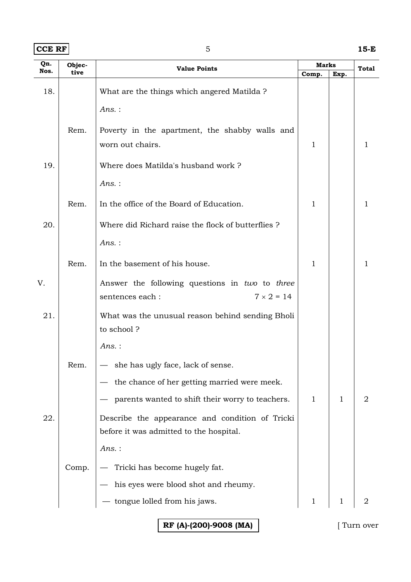| $ CCE$ RF $ $ | 15-E |
|---------------|------|
|               |      |

| Qn.  | Objec- | <b>Value Points</b>                                            | <b>Marks</b> |      | <b>Total</b>   |  |
|------|--------|----------------------------------------------------------------|--------------|------|----------------|--|
| Nos. | tive   |                                                                | Comp.        | Exp. |                |  |
| 18.  |        | What are the things which angered Matilda?                     |              |      |                |  |
|      |        | $Ans.$ :                                                       |              |      |                |  |
|      |        |                                                                |              |      |                |  |
|      | Rem.   | Poverty in the apartment, the shabby walls and                 |              |      |                |  |
|      |        | worn out chairs.                                               | 1            |      | 1              |  |
| 19.  |        | Where does Matilda's husband work?                             |              |      |                |  |
|      |        | $Ans.$ :                                                       |              |      |                |  |
|      | Rem.   | In the office of the Board of Education.                       | $\mathbf{1}$ |      | 1              |  |
| 20.  |        | Where did Richard raise the flock of butterflies?              |              |      |                |  |
|      |        | $Ans.$ :                                                       |              |      |                |  |
|      | Rem.   | In the basement of his house.                                  | 1            |      | 1              |  |
|      |        |                                                                |              |      |                |  |
| V.   |        | Answer the following questions in two to three                 |              |      |                |  |
|      |        | $7 \times 2 = 14$<br>sentences each:                           |              |      |                |  |
| 21.  |        | What was the unusual reason behind sending Bholi<br>to school? |              |      |                |  |
|      |        |                                                                |              |      |                |  |
|      |        | $Ans.$ :                                                       |              |      |                |  |
|      | Rem.   | - she has ugly face, lack of sense.                            |              |      |                |  |
|      |        | the chance of her getting married were meek.                   |              |      |                |  |
|      |        | parents wanted to shift their worry to teachers.               | $\mathbf{1}$ | 1    | $\overline{2}$ |  |
| 22.  |        | Describe the appearance and condition of Tricki                |              |      |                |  |
|      |        | before it was admitted to the hospital.                        |              |      |                |  |
|      |        | Ans.:                                                          |              |      |                |  |
|      | Comp.  | Tricki has become hugely fat.                                  |              |      |                |  |
|      |        | his eyes were blood shot and rheumy.                           |              |      |                |  |
|      |        | tongue lolled from his jaws.                                   | $\mathbf{1}$ |      |                |  |
|      |        |                                                                |              |      |                |  |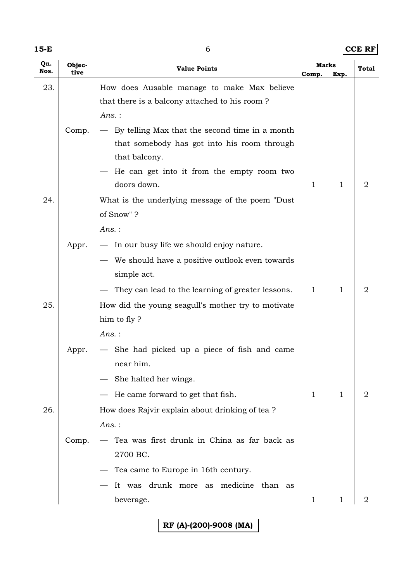**15-E** 6 **CCE RF**

| Qn.  | Objec- | <b>Value Points</b>                                |              | <b>Marks</b> |                |
|------|--------|----------------------------------------------------|--------------|--------------|----------------|
| Nos. | tive   |                                                    | Comp.        | Exp.         | <b>Total</b>   |
| 23.  |        | How does Ausable manage to make Max believe        |              |              |                |
|      |        | that there is a balcony attached to his room?      |              |              |                |
|      |        | $Ans.$ :                                           |              |              |                |
|      | Comp.  | By telling Max that the second time in a month     |              |              |                |
|      |        | that somebody has got into his room through        |              |              |                |
|      |        | that balcony.                                      |              |              |                |
|      |        | He can get into it from the empty room two         |              |              |                |
|      |        | doors down.                                        | 1            | 1            | $\overline{2}$ |
| 24.  |        | What is the underlying message of the poem "Dust"  |              |              |                |
|      |        | of Snow"?                                          |              |              |                |
|      |        | $Ans.$ :                                           |              |              |                |
|      | Appr.  | - In our busy life we should enjoy nature.         |              |              |                |
|      |        | We should have a positive outlook even towards     |              |              |                |
|      |        | simple act.                                        |              |              |                |
|      |        | They can lead to the learning of greater lessons.  | $\mathbf{1}$ | 1            | $\overline{2}$ |
| 25.  |        | How did the young seagull's mother try to motivate |              |              |                |
|      |        | him to fly?                                        |              |              |                |
|      |        | $Ans.$ :                                           |              |              |                |
|      | Appr.  | She had picked up a piece of fish and came         |              |              |                |
|      |        | near him.                                          |              |              |                |
|      |        | She halted her wings.                              |              |              |                |
|      |        | He came forward to get that fish.                  | 1            | 1            | 2              |
| 26.  |        | How does Rajvir explain about drinking of tea?     |              |              |                |
|      |        | Ans.:                                              |              |              |                |
|      | Comp.  | Tea was first drunk in China as far back as        |              |              |                |
|      |        | 2700 BC.                                           |              |              |                |
|      |        | Tea came to Europe in 16th century.                |              |              |                |
|      |        | It was drunk more as medicine than as              |              |              |                |
|      |        | beverage.                                          | $\mathbf 1$  |              | 2              |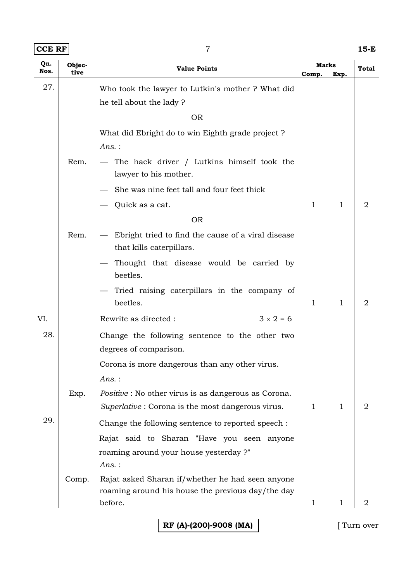## **CCE RF** 7 **15-E**

| Qn.  | Objec- | <b>Value Points</b>                                                                                             | Marks        |              | Total          |
|------|--------|-----------------------------------------------------------------------------------------------------------------|--------------|--------------|----------------|
| Nos. | tive   |                                                                                                                 | Comp.        | Exp.         |                |
| 27.  |        | Who took the lawyer to Lutkin's mother ? What did                                                               |              |              |                |
|      |        | he tell about the lady?                                                                                         |              |              |                |
|      |        | <b>OR</b>                                                                                                       |              |              |                |
|      |        | What did Ebright do to win Eighth grade project?                                                                |              |              |                |
|      |        | Ans.:                                                                                                           |              |              |                |
|      | Rem.   | - The hack driver / Lutkins himself took the<br>lawyer to his mother.                                           |              |              |                |
|      |        | She was nine feet tall and four feet thick                                                                      |              |              |                |
|      |        | Quick as a cat.                                                                                                 | 1            | $\mathbf{1}$ | $\overline{2}$ |
|      |        | <b>OR</b>                                                                                                       |              |              |                |
|      | Rem.   | Ebright tried to find the cause of a viral disease<br>that kills caterpillars.                                  |              |              |                |
|      |        | Thought that disease would be carried by<br>beetles.                                                            |              |              |                |
|      |        | Tried raising caterpillars in the company of<br>beetles.                                                        | $\mathbf{1}$ | $\mathbf{1}$ | 2              |
| VI.  |        | $3 \times 2 = 6$<br>Rewrite as directed :                                                                       |              |              |                |
| 28.  |        | Change the following sentence to the other two                                                                  |              |              |                |
|      |        | degrees of comparison.                                                                                          |              |              |                |
|      |        | Corona is more dangerous than any other virus.                                                                  |              |              |                |
|      |        | Ans.:                                                                                                           |              |              |                |
|      | Exp.   | <i>Positive</i> : No other virus is as dangerous as Corona.<br>Superlative: Corona is the most dangerous virus. | 1            | $\mathbf{1}$ | 2              |
| 29.  |        | Change the following sentence to reported speech :                                                              |              |              |                |
|      |        | Rajat said to Sharan "Have you seen anyone                                                                      |              |              |                |
|      |        | roaming around your house yesterday ?"<br>$Ans.$ :                                                              |              |              |                |
|      | Comp.  | Rajat asked Sharan if/whether he had seen anyone                                                                |              |              |                |
|      |        | roaming around his house the previous day/the day                                                               |              |              |                |
|      |        | before.                                                                                                         | 1            |              | 2              |
|      |        |                                                                                                                 |              |              |                |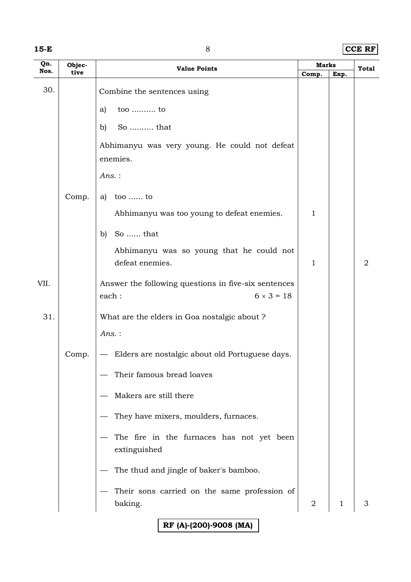|  | ×<br>۰, |  |
|--|---------|--|
|--|---------|--|

**15-E** 8 **CCE RF**

| Qn.<br>Nos. | Objec- | <b>Marks</b><br><b>Value Points</b>                       |              |              | Total          |
|-------------|--------|-----------------------------------------------------------|--------------|--------------|----------------|
|             | tive   |                                                           | Comp.        | Exp.         |                |
| 30.         |        | Combine the sentences using                               |              |              |                |
|             |        | too  to<br>a)                                             |              |              |                |
|             |        | So  that<br>b)                                            |              |              |                |
|             |        | Abhimanyu was very young. He could not defeat             |              |              |                |
|             |        | enemies.                                                  |              |              |                |
|             |        | Ans.:                                                     |              |              |                |
|             | Comp.  | a) too  to                                                |              |              |                |
|             |        | Abhimanyu was too young to defeat enemies.                | 1            |              |                |
|             |        | So  that<br>b)                                            |              |              |                |
|             |        | Abhimanyu was so young that he could not                  |              |              |                |
|             |        | defeat enemies.                                           | $\mathbf{1}$ |              | $\overline{2}$ |
| VII.        |        | Answer the following questions in five-six sentences      |              |              |                |
|             |        | $6 \times 3 = 18$<br>each:                                |              |              |                |
| 31.         |        | What are the elders in Goa nostalgic about ?              |              |              |                |
|             |        | Ans.:                                                     |              |              |                |
|             | Comp.  | Elders are nostalgic about old Portuguese days.           |              |              |                |
|             |        | Their famous bread loaves                                 |              |              |                |
|             |        | Makers are still there                                    |              |              |                |
|             |        | They have mixers, moulders, furnaces.                     |              |              |                |
|             |        | The fire in the furnaces has not yet been<br>extinguished |              |              |                |
|             |        |                                                           |              |              |                |
|             |        | The thud and jingle of baker's bamboo.                    |              |              |                |
|             |        | Their sons carried on the same profession of              |              |              |                |
|             |        | baking.                                                   | 2            | $\mathbf{1}$ | 3              |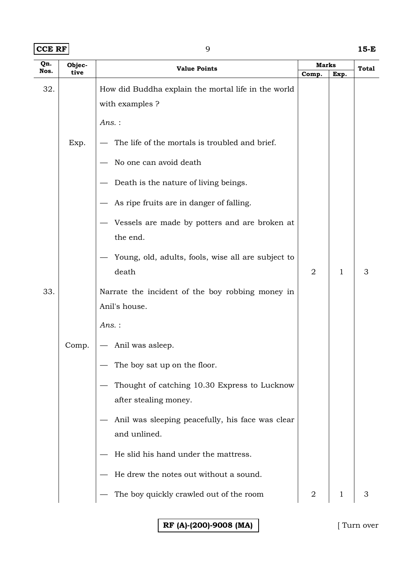| Nos.<br>tive<br>Comp.<br>32.<br>How did Buddha explain the mortal life in the world<br>with examples ?<br>$Ans.$ :<br>The life of the mortals is troubled and brief.<br>Exp.<br>No one can avoid death<br>Death is the nature of living beings.<br>As ripe fruits are in danger of falling. | Exp. | <b>Total</b> |
|---------------------------------------------------------------------------------------------------------------------------------------------------------------------------------------------------------------------------------------------------------------------------------------------|------|--------------|
|                                                                                                                                                                                                                                                                                             |      |              |
|                                                                                                                                                                                                                                                                                             |      |              |
|                                                                                                                                                                                                                                                                                             |      |              |
|                                                                                                                                                                                                                                                                                             |      |              |
|                                                                                                                                                                                                                                                                                             |      |              |
|                                                                                                                                                                                                                                                                                             |      |              |
|                                                                                                                                                                                                                                                                                             |      |              |
|                                                                                                                                                                                                                                                                                             |      |              |
| Vessels are made by potters and are broken at<br>the end.                                                                                                                                                                                                                                   |      |              |
| Young, old, adults, fools, wise all are subject to<br>death<br>$\overline{2}$                                                                                                                                                                                                               | 1    | 3            |
| 33.<br>Narrate the incident of the boy robbing money in                                                                                                                                                                                                                                     |      |              |
| Anil's house.                                                                                                                                                                                                                                                                               |      |              |
| $Ans.$ :                                                                                                                                                                                                                                                                                    |      |              |
| Anil was asleep.<br>Comp.<br>$\hspace{0.05cm}$                                                                                                                                                                                                                                              |      |              |
| The boy sat up on the floor.                                                                                                                                                                                                                                                                |      |              |
| Thought of catching 10.30 Express to Lucknow                                                                                                                                                                                                                                                |      |              |
| after stealing money.                                                                                                                                                                                                                                                                       |      |              |
| Anil was sleeping peacefully, his face was clear<br>and unlined.                                                                                                                                                                                                                            |      |              |
| He slid his hand under the mattress.                                                                                                                                                                                                                                                        |      |              |
| He drew the notes out without a sound.                                                                                                                                                                                                                                                      |      |              |
| The boy quickly crawled out of the room<br>$\overline{2}$                                                                                                                                                                                                                                   | 1    | З            |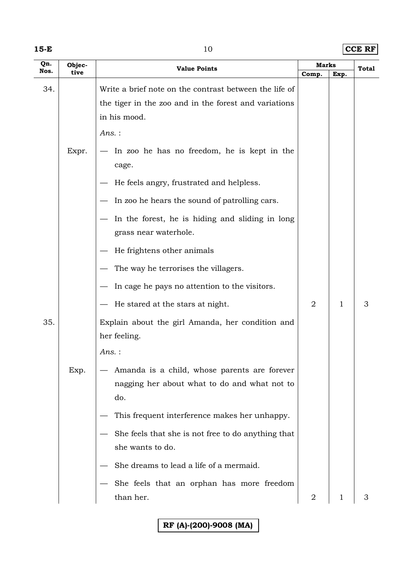|  | ×<br>×<br>v |  |
|--|-------------|--|
|--|-------------|--|

**15-E**  $10$  **CCE RF** 

| Qn.<br>Nos. | Objec-<br>tive | <b>Value Points</b>                                              | Marks          |      | Total |
|-------------|----------------|------------------------------------------------------------------|----------------|------|-------|
|             |                |                                                                  | Comp.          | Exp. |       |
| 34.         |                | Write a brief note on the contrast between the life of           |                |      |       |
|             |                | the tiger in the zoo and in the forest and variations            |                |      |       |
|             |                | in his mood.                                                     |                |      |       |
|             |                | $Ans.$ :                                                         |                |      |       |
|             | Expr.          | In zoo he has no freedom, he is kept in the<br>$\hspace{0.05cm}$ |                |      |       |
|             |                | cage.                                                            |                |      |       |
|             |                | He feels angry, frustrated and helpless.                         |                |      |       |
|             |                | In zoo he hears the sound of patrolling cars.                    |                |      |       |
|             |                | In the forest, he is hiding and sliding in long                  |                |      |       |
|             |                | grass near waterhole.                                            |                |      |       |
|             |                | He frightens other animals                                       |                |      |       |
|             |                | The way he terrorises the villagers.                             |                |      |       |
|             |                | In cage he pays no attention to the visitors.                    |                |      |       |
|             |                | He stared at the stars at night.                                 | 2              | 1    | 3     |
| 35.         |                | Explain about the girl Amanda, her condition and                 |                |      |       |
|             |                | her feeling.                                                     |                |      |       |
|             |                | $Ans.$ :                                                         |                |      |       |
|             | Exp.           | Amanda is a child, whose parents are forever                     |                |      |       |
|             |                | nagging her about what to do and what not to                     |                |      |       |
|             |                | do.                                                              |                |      |       |
|             |                | This frequent interference makes her unhappy.                    |                |      |       |
|             |                | She feels that she is not free to do anything that               |                |      |       |
|             |                | she wants to do.                                                 |                |      |       |
|             |                | She dreams to lead a life of a mermaid.                          |                |      |       |
|             |                | She feels that an orphan has more freedom                        |                |      |       |
|             |                | than her.                                                        | $\overline{2}$ | 1    | 3     |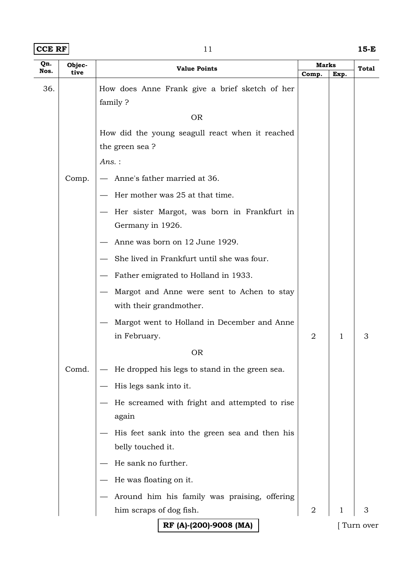| $ CCE$ RF $ $ | 15-E |
|---------------|------|
|               |      |

| Qn.  | Objec- | <b>Value Points</b>                             |                | <b>Marks</b> |              |
|------|--------|-------------------------------------------------|----------------|--------------|--------------|
| Nos. | tive   |                                                 | Comp.          | Exp.         | <b>Total</b> |
| 36.  |        | How does Anne Frank give a brief sketch of her  |                |              |              |
|      |        | family?                                         |                |              |              |
|      |        | <b>OR</b>                                       |                |              |              |
|      |        | How did the young seagull react when it reached |                |              |              |
|      |        | the green sea?                                  |                |              |              |
|      |        | $Ans.$ :                                        |                |              |              |
|      | Comp.  | Anne's father married at 36.                    |                |              |              |
|      |        | Her mother was 25 at that time.                 |                |              |              |
|      |        | Her sister Margot, was born in Frankfurt in     |                |              |              |
|      |        | Germany in 1926.                                |                |              |              |
|      |        | Anne was born on 12 June 1929.                  |                |              |              |
|      |        | She lived in Frankfurt until she was four.      |                |              |              |
|      |        | Father emigrated to Holland in 1933.            |                |              |              |
|      |        | Margot and Anne were sent to Achen to stay      |                |              |              |
|      |        | with their grandmother.                         |                |              |              |
|      |        | Margot went to Holland in December and Anne     |                |              |              |
|      |        | in February.                                    | $\overline{2}$ | 1            | 3            |
|      |        | <b>OR</b>                                       |                |              |              |
|      | Comd.  | He dropped his legs to stand in the green sea.  |                |              |              |
|      |        | His legs sank into it.                          |                |              |              |
|      |        | He screamed with fright and attempted to rise   |                |              |              |
|      |        | again                                           |                |              |              |
|      |        | His feet sank into the green sea and then his   |                |              |              |
|      |        | belly touched it.                               |                |              |              |
|      |        | He sank no further.                             |                |              |              |
|      |        | He was floating on it.                          |                |              |              |
|      |        | Around him his family was praising, offering    |                |              |              |
|      |        | him scraps of dog fish.                         | $\overline{2}$ | 1            | 3            |
|      |        | RF (A)-(200)-9008 (MA)                          |                |              | Turn over    |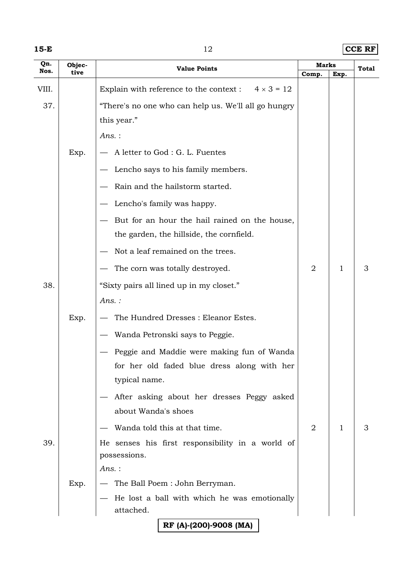**15-E**  $12$  **CCE RF** 

| Qn.<br>Nos. | Objec-<br>tive | <b>Value Points</b>                                              | Marks          |      | Total |
|-------------|----------------|------------------------------------------------------------------|----------------|------|-------|
| VIII.       |                | Explain with reference to the context : $4 \times 3 = 12$        | Comp.          | Exp. |       |
| 37.         |                | "There's no one who can help us. We'll all go hungry             |                |      |       |
|             |                | this year."                                                      |                |      |       |
|             |                | $Ans.$ :                                                         |                |      |       |
|             | Exp.           | A letter to God : G. L. Fuentes                                  |                |      |       |
|             |                | Lencho says to his family members.                               |                |      |       |
|             |                |                                                                  |                |      |       |
|             |                | Rain and the hailstorm started.                                  |                |      |       |
|             |                | Lencho's family was happy.                                       |                |      |       |
|             |                | But for an hour the hail rained on the house,                    |                |      |       |
|             |                | the garden, the hillside, the cornfield.                         |                |      |       |
|             |                | Not a leaf remained on the trees.                                |                |      |       |
|             |                | The corn was totally destroyed.                                  | $\overline{2}$ | 1    | 3     |
| 38.         |                | "Sixty pairs all lined up in my closet."                         |                |      |       |
|             |                | Ans.:                                                            |                |      |       |
|             | Exp.           | The Hundred Dresses : Eleanor Estes.                             |                |      |       |
|             |                | Wanda Petronski says to Peggie.                                  |                |      |       |
|             |                | Peggie and Maddie were making fun of Wanda                       |                |      |       |
|             |                | for her old faded blue dress along with her                      |                |      |       |
|             |                | typical name.                                                    |                |      |       |
|             |                | After asking about her dresses Peggy asked                       |                |      |       |
|             |                | about Wanda's shoes                                              |                |      |       |
|             |                | Wanda told this at that time.                                    | $\overline{2}$ | 1    | 3     |
| 39.         |                | He senses his first responsibility in a world of<br>possessions. |                |      |       |
|             |                | $Ans.$ :                                                         |                |      |       |
|             | Exp.           | The Ball Poem: John Berryman.                                    |                |      |       |
|             |                | He lost a ball with which he was emotionally                     |                |      |       |
|             |                | attached.                                                        |                |      |       |
|             |                | RF (A)-(200)-9008 (MA)                                           |                |      |       |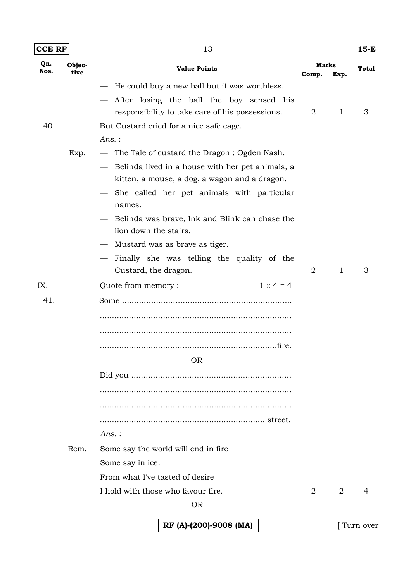| $ CCE$ RF $ $ | ∸ | 15-E |
|---------------|---|------|
|               |   |      |

| Qn.<br>Nos. | Objec- | <b>Value Points</b>                                                                                                                                                                                                                                                                             |                | Marks          |   |
|-------------|--------|-------------------------------------------------------------------------------------------------------------------------------------------------------------------------------------------------------------------------------------------------------------------------------------------------|----------------|----------------|---|
|             | tive   |                                                                                                                                                                                                                                                                                                 | Comp.          | Exp.           |   |
| 40.         |        | He could buy a new ball but it was worthless.<br>After losing the ball the boy sensed his<br>responsibility to take care of his possessions.<br>But Custard cried for a nice safe cage.                                                                                                         | 2              | 1              | 3 |
|             | Exp.   | Ans. :<br>The Tale of custard the Dragon; Ogden Nash.<br>- Belinda lived in a house with her pet animals, a<br>kitten, a mouse, a dog, a wagon and a dragon.<br>She called her pet animals with particular<br>names.<br>Belinda was brave, Ink and Blink can chase the<br>lion down the stairs. |                |                |   |
|             |        | Mustard was as brave as tiger.<br>Finally she was telling the quality of the<br>Custard, the dragon.                                                                                                                                                                                            | 2              | 1              | З |
| IX.         |        | $1 \times 4 = 4$<br>Quote from memory:                                                                                                                                                                                                                                                          |                |                |   |
| 41.         | Rem.   | <b>OR</b><br>Ans. :<br>Some say the world will end in fire                                                                                                                                                                                                                                      |                |                |   |
|             |        | Some say in ice.<br>From what I've tasted of desire<br>I hold with those who favour fire.                                                                                                                                                                                                       | $\overline{2}$ | $\overline{2}$ |   |
|             |        | <b>OR</b>                                                                                                                                                                                                                                                                                       |                |                |   |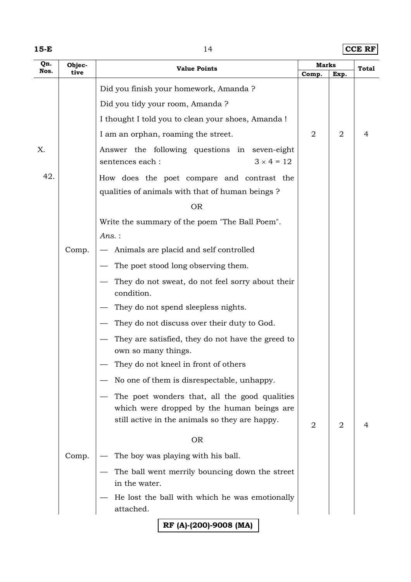**15-E**  $14$  **CCE RF** 

| Qn.  | Objec- | <b>Value Points</b>                                                                                                                           |                | <b>Marks</b>   |       |
|------|--------|-----------------------------------------------------------------------------------------------------------------------------------------------|----------------|----------------|-------|
| Nos. | tive   |                                                                                                                                               | Comp.          | Exp.           | Total |
|      |        | Did you finish your homework, Amanda ?                                                                                                        |                |                |       |
|      |        | Did you tidy your room, Amanda?                                                                                                               |                |                |       |
|      |        | I thought I told you to clean your shoes, Amanda !                                                                                            |                |                |       |
|      |        | I am an orphan, roaming the street.                                                                                                           | $\overline{2}$ | $\overline{2}$ | 4     |
| X.   |        | Answer the following questions in seven-eight<br>$3 \times 4 = 12$<br>sentences each :                                                        |                |                |       |
| 42.  |        | How does the poet compare and contrast the                                                                                                    |                |                |       |
|      |        | qualities of animals with that of human beings?                                                                                               |                |                |       |
|      |        | <b>OR</b>                                                                                                                                     |                |                |       |
|      |        | Write the summary of the poem "The Ball Poem".                                                                                                |                |                |       |
|      |        | $Ans.$ :                                                                                                                                      |                |                |       |
|      | Comp.  | Animals are placid and self controlled                                                                                                        |                |                |       |
|      |        | The poet stood long observing them.                                                                                                           |                |                |       |
|      |        | They do not sweat, do not feel sorry about their<br>condition.                                                                                |                |                |       |
|      |        | They do not spend sleepless nights.                                                                                                           |                |                |       |
|      |        | They do not discuss over their duty to God.                                                                                                   |                |                |       |
|      |        | They are satisfied, they do not have the greed to<br>own so many things.                                                                      |                |                |       |
|      |        | They do not kneel in front of others                                                                                                          |                |                |       |
|      |        | No one of them is disrespectable, unhappy.                                                                                                    |                |                |       |
|      |        | The poet wonders that, all the good qualities<br>which were dropped by the human beings are<br>still active in the animals so they are happy. | 2              | 2              |       |
|      |        | <b>OR</b>                                                                                                                                     |                |                |       |
|      | Comp.  | The boy was playing with his ball.                                                                                                            |                |                |       |
|      |        | The ball went merrily bouncing down the street                                                                                                |                |                |       |
|      |        | in the water.                                                                                                                                 |                |                |       |
|      |        | He lost the ball with which he was emotionally<br>attached.                                                                                   |                |                |       |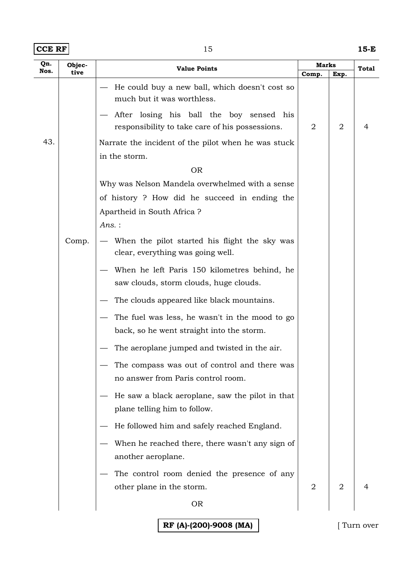| $ CCE$ RF $ $ | ∸ | 15-E |
|---------------|---|------|
|               |   |      |

| Qn.<br>Nos. | Objec- | <b>Value Points</b>                                                                         | <b>Marks</b>   |                | Total |
|-------------|--------|---------------------------------------------------------------------------------------------|----------------|----------------|-------|
|             | tive   |                                                                                             | Comp.          | Exp.           |       |
|             |        | He could buy a new ball, which doesn't cost so<br>much but it was worthless.                |                |                |       |
|             |        | After losing his ball the boy sensed his<br>responsibility to take care of his possessions. | 2              | $\overline{2}$ | 4     |
| 43.         |        | Narrate the incident of the pilot when he was stuck                                         |                |                |       |
|             |        | in the storm.                                                                               |                |                |       |
|             |        | <b>OR</b>                                                                                   |                |                |       |
|             |        | Why was Nelson Mandela overwhelmed with a sense                                             |                |                |       |
|             |        | of history ? How did he succeed in ending the                                               |                |                |       |
|             |        | Apartheid in South Africa?                                                                  |                |                |       |
|             |        | Ans.:                                                                                       |                |                |       |
|             | Comp.  | - When the pilot started his flight the sky was<br>clear, everything was going well.        |                |                |       |
|             |        | When he left Paris 150 kilometres behind, he                                                |                |                |       |
|             |        | saw clouds, storm clouds, huge clouds.                                                      |                |                |       |
|             |        | The clouds appeared like black mountains.                                                   |                |                |       |
|             |        | The fuel was less, he wasn't in the mood to go<br>back, so he went straight into the storm. |                |                |       |
|             |        | The aeroplane jumped and twisted in the air.                                                |                |                |       |
|             |        | The compass was out of control and there was<br>no answer from Paris control room.          |                |                |       |
|             |        | He saw a black aeroplane, saw the pilot in that<br>plane telling him to follow.             |                |                |       |
|             |        | He followed him and safely reached England.                                                 |                |                |       |
|             |        | When he reached there, there wasn't any sign of<br>another aeroplane.                       |                |                |       |
|             |        | The control room denied the presence of any                                                 |                |                |       |
|             |        | other plane in the storm.                                                                   | $\overline{2}$ | $\overline{2}$ |       |
|             |        | <b>OR</b>                                                                                   |                |                |       |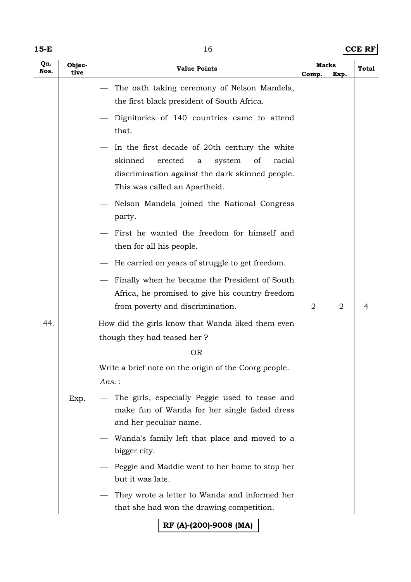**15-E**  $|CCE$  RF

| Qn.<br>Nos. | Objec-<br>tive | <b>Value Points</b>                                                                                                                                                                              | <b>Marks</b> |                | <b>Total</b> |
|-------------|----------------|--------------------------------------------------------------------------------------------------------------------------------------------------------------------------------------------------|--------------|----------------|--------------|
|             |                | The oath taking ceremony of Nelson Mandela,<br>the first black president of South Africa.                                                                                                        | Comp.        | Exp.           |              |
|             |                | Dignitories of 140 countries came to attend<br>that.                                                                                                                                             |              |                |              |
|             |                | In the first decade of 20th century the white<br>skinned<br>erected<br>system<br>of<br>racial<br>$\mathbf a$<br>discrimination against the dark skinned people.<br>This was called an Apartheid. |              |                |              |
|             |                | Nelson Mandela joined the National Congress<br>party.                                                                                                                                            |              |                |              |
|             |                | First he wanted the freedom for himself and<br>then for all his people.                                                                                                                          |              |                |              |
|             |                | He carried on years of struggle to get freedom.                                                                                                                                                  |              |                |              |
|             |                | Finally when he became the President of South                                                                                                                                                    |              |                |              |
|             |                | Africa, he promised to give his country freedom                                                                                                                                                  |              |                |              |
|             |                | from poverty and discrimination.                                                                                                                                                                 | 2            | $\overline{2}$ | 4            |
| 44.         |                | How did the girls know that Wanda liked them even                                                                                                                                                |              |                |              |
|             |                | though they had teased her?                                                                                                                                                                      |              |                |              |
|             |                | <b>OR</b>                                                                                                                                                                                        |              |                |              |
|             |                | Write a brief note on the origin of the Coorg people.<br>Ans.:                                                                                                                                   |              |                |              |
|             | Exp.           | The girls, especially Peggie used to tease and<br>make fun of Wanda for her single faded dress<br>and her peculiar name.                                                                         |              |                |              |
|             |                | Wanda's family left that place and moved to a<br>bigger city.                                                                                                                                    |              |                |              |
|             |                | Peggie and Maddie went to her home to stop her<br>but it was late.                                                                                                                               |              |                |              |
|             |                | They wrote a letter to Wanda and informed her<br>that she had won the drawing competition.                                                                                                       |              |                |              |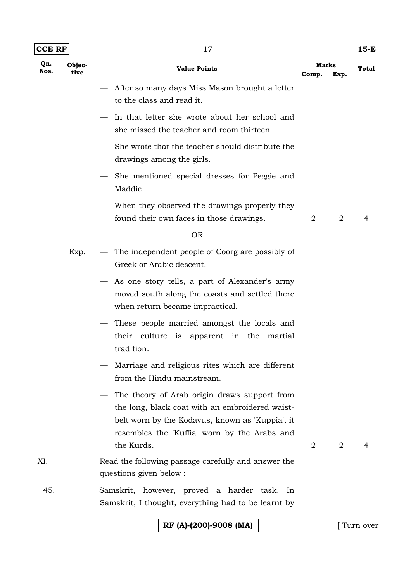| $ CCE$ RF $ $ | 15-E |
|---------------|------|
|               |      |

| Qn.  | Objec- | <b>Value Points</b>                                                                                                                                                                                              | Marks          |                |   | Total |
|------|--------|------------------------------------------------------------------------------------------------------------------------------------------------------------------------------------------------------------------|----------------|----------------|---|-------|
| Nos. | tive   |                                                                                                                                                                                                                  | Comp.          | Exp.           |   |       |
|      |        | After so many days Miss Mason brought a letter<br>to the class and read it.                                                                                                                                      |                |                |   |       |
|      |        | In that letter she wrote about her school and<br>she missed the teacher and room thirteen.                                                                                                                       |                |                |   |       |
|      |        | She wrote that the teacher should distribute the<br>drawings among the girls.                                                                                                                                    |                |                |   |       |
|      |        | She mentioned special dresses for Peggie and<br>Maddie.                                                                                                                                                          |                |                |   |       |
|      |        | When they observed the drawings properly they<br>found their own faces in those drawings.                                                                                                                        | $\overline{2}$ | $\overline{2}$ | 4 |       |
|      |        | <b>OR</b>                                                                                                                                                                                                        |                |                |   |       |
|      | Exp.   | The independent people of Coorg are possibly of<br>Greek or Arabic descent.                                                                                                                                      |                |                |   |       |
|      |        | As one story tells, a part of Alexander's army<br>moved south along the coasts and settled there<br>when return became impractical.                                                                              |                |                |   |       |
|      |        | These people married amongst the locals and<br>their culture is apparent in the<br>martial<br>tradition.                                                                                                         |                |                |   |       |
|      |        | Marriage and religious rites which are different<br>from the Hindu mainstream.                                                                                                                                   |                |                |   |       |
|      |        | The theory of Arab origin draws support from<br>the long, black coat with an embroidered waist-<br>belt worn by the Kodavus, known as 'Kuppia', it<br>resembles the 'Kuffia' worn by the Arabs and<br>the Kurds. | 2              | 2              | 4 |       |
| XI.  |        | Read the following passage carefully and answer the<br>questions given below :                                                                                                                                   |                |                |   |       |
| 45.  |        | Samskrit, however, proved a harder task.<br>In<br>Samskrit, I thought, everything had to be learnt by                                                                                                            |                |                |   |       |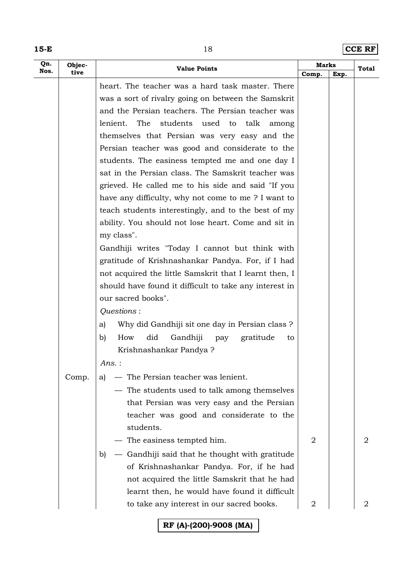**15-E**  $18$  **CCE RF** 

| Nos.<br>tive<br>Comp.<br>Exp.<br>heart. The teacher was a hard task master. There<br>was a sort of rivalry going on between the Samskrit<br>and the Persian teachers. The Persian teacher was<br>lenient.<br>The<br>students used to talk among<br>themselves that Persian was very easy and the<br>Persian teacher was good and considerate to the<br>students. The easiness tempted me and one day I<br>sat in the Persian class. The Samskrit teacher was<br>grieved. He called me to his side and said "If you<br>have any difficulty, why not come to me? I want to |
|--------------------------------------------------------------------------------------------------------------------------------------------------------------------------------------------------------------------------------------------------------------------------------------------------------------------------------------------------------------------------------------------------------------------------------------------------------------------------------------------------------------------------------------------------------------------------|
|                                                                                                                                                                                                                                                                                                                                                                                                                                                                                                                                                                          |
|                                                                                                                                                                                                                                                                                                                                                                                                                                                                                                                                                                          |
|                                                                                                                                                                                                                                                                                                                                                                                                                                                                                                                                                                          |
|                                                                                                                                                                                                                                                                                                                                                                                                                                                                                                                                                                          |
|                                                                                                                                                                                                                                                                                                                                                                                                                                                                                                                                                                          |
|                                                                                                                                                                                                                                                                                                                                                                                                                                                                                                                                                                          |
|                                                                                                                                                                                                                                                                                                                                                                                                                                                                                                                                                                          |
|                                                                                                                                                                                                                                                                                                                                                                                                                                                                                                                                                                          |
|                                                                                                                                                                                                                                                                                                                                                                                                                                                                                                                                                                          |
|                                                                                                                                                                                                                                                                                                                                                                                                                                                                                                                                                                          |
| teach students interestingly, and to the best of my                                                                                                                                                                                                                                                                                                                                                                                                                                                                                                                      |
| ability. You should not lose heart. Come and sit in                                                                                                                                                                                                                                                                                                                                                                                                                                                                                                                      |
| my class".                                                                                                                                                                                                                                                                                                                                                                                                                                                                                                                                                               |
| Gandhiji writes "Today I cannot but think with                                                                                                                                                                                                                                                                                                                                                                                                                                                                                                                           |
| gratitude of Krishnashankar Pandya. For, if I had                                                                                                                                                                                                                                                                                                                                                                                                                                                                                                                        |
| not acquired the little Samskrit that I learnt then, I                                                                                                                                                                                                                                                                                                                                                                                                                                                                                                                   |
| should have found it difficult to take any interest in                                                                                                                                                                                                                                                                                                                                                                                                                                                                                                                   |
| our sacred books".                                                                                                                                                                                                                                                                                                                                                                                                                                                                                                                                                       |
| Questions:                                                                                                                                                                                                                                                                                                                                                                                                                                                                                                                                                               |
| Why did Gandhiji sit one day in Persian class ?<br>a)                                                                                                                                                                                                                                                                                                                                                                                                                                                                                                                    |
| did<br>Gandhiji<br>b)<br>How<br>pay<br>gratitude<br>to                                                                                                                                                                                                                                                                                                                                                                                                                                                                                                                   |
| Krishnashankar Pandya?                                                                                                                                                                                                                                                                                                                                                                                                                                                                                                                                                   |
| Ans. :                                                                                                                                                                                                                                                                                                                                                                                                                                                                                                                                                                   |
| - The Persian teacher was lenient.<br>Comp.<br>a)                                                                                                                                                                                                                                                                                                                                                                                                                                                                                                                        |
| — The students used to talk among themselves                                                                                                                                                                                                                                                                                                                                                                                                                                                                                                                             |
| that Persian was very easy and the Persian                                                                                                                                                                                                                                                                                                                                                                                                                                                                                                                               |
| teacher was good and considerate to the                                                                                                                                                                                                                                                                                                                                                                                                                                                                                                                                  |
| students.                                                                                                                                                                                                                                                                                                                                                                                                                                                                                                                                                                |
| - The easiness tempted him.<br>$\overline{2}$<br>2                                                                                                                                                                                                                                                                                                                                                                                                                                                                                                                       |
| - Gandhiji said that he thought with gratitude<br>b)                                                                                                                                                                                                                                                                                                                                                                                                                                                                                                                     |
| of Krishnashankar Pandya. For, if he had                                                                                                                                                                                                                                                                                                                                                                                                                                                                                                                                 |
| not acquired the little Samskrit that he had                                                                                                                                                                                                                                                                                                                                                                                                                                                                                                                             |
| learnt then, he would have found it difficult                                                                                                                                                                                                                                                                                                                                                                                                                                                                                                                            |
| to take any interest in our sacred books.<br>2<br>2                                                                                                                                                                                                                                                                                                                                                                                                                                                                                                                      |
| RF (A)-(200)-9008 (MA)                                                                                                                                                                                                                                                                                                                                                                                                                                                                                                                                                   |